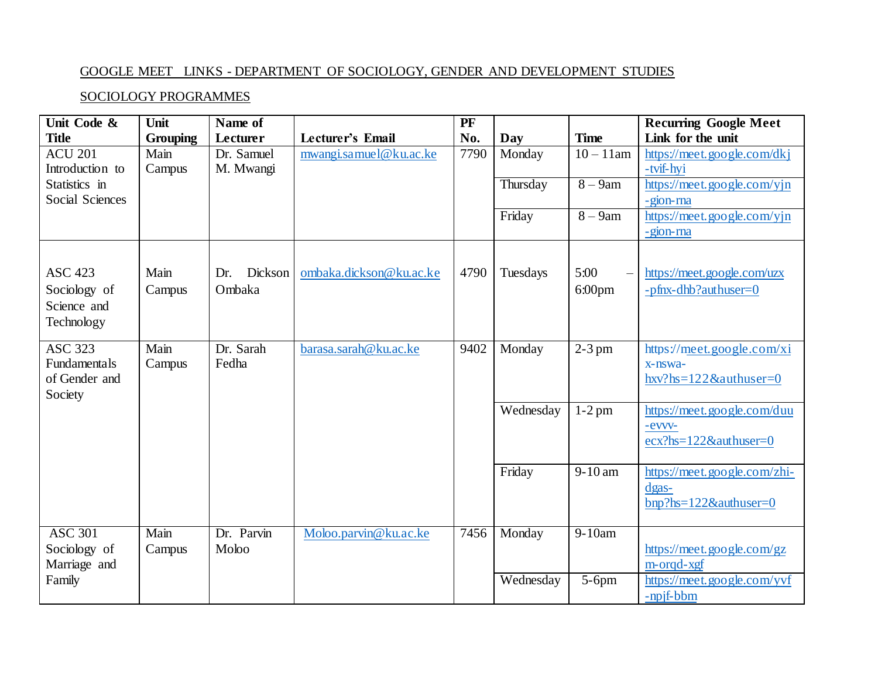## GOOGLE MEET LINKS - DEPARTMENT OF SOCIOLOGY, GENDER AND DEVELOPMENT STUDIES

## SOCIOLOGY PROGRAMMES

| Unit Code &         | Unit            | Name of         |                         | PF   |           |              | <b>Recurring Google Meet</b>  |
|---------------------|-----------------|-----------------|-------------------------|------|-----------|--------------|-------------------------------|
| <b>Title</b>        | <b>Grouping</b> | <b>Lecturer</b> | Lecturer's Email        | No.  | Day       | <b>Time</b>  | Link for the unit             |
| <b>ACU 201</b>      | Main            | Dr. Samuel      | mwangi.samuel@ku.ac.ke  | 7790 | Monday    | $10 - 11$ am | https://meet.google.com/dkj   |
| Introduction to     | Campus          | M. Mwangi       |                         |      |           |              | -tvif-hyi                     |
| Statistics in       |                 |                 |                         |      | Thursday  | $8 - 9$ am   | https://meet.google.com/yjn   |
| Social Sciences     |                 |                 |                         |      |           |              | -gion-rna                     |
|                     |                 |                 |                         |      | Friday    | $8 - 9$ am   | https://meet.google.com/yjn   |
|                     |                 |                 |                         |      |           |              | -gion-rna                     |
|                     |                 |                 |                         |      |           |              |                               |
| <b>ASC 423</b>      | Main            | Dickson<br>Dr.  | ombaka.dickson@ku.ac.ke | 4790 | Tuesdays  | 5:00         | https://meet.google.com/uzx   |
| Sociology of        | Campus          | Ombaka          |                         |      |           | $6:00$ pm    | -pfnx-dhb?authuser=0          |
| Science and         |                 |                 |                         |      |           |              |                               |
|                     |                 |                 |                         |      |           |              |                               |
| Technology          |                 |                 |                         |      |           |              |                               |
| <b>ASC 323</b>      | Main            | Dr. Sarah       | barasa.sarah@ku.ac.ke   | 9402 | Monday    | $2-3$ pm     | https://meet.google.com/xi    |
| <b>Fundamentals</b> | Campus          | Fedha           |                         |      |           |              | $x$ -nswa-                    |
| of Gender and       |                 |                 |                         |      |           |              | $hxy?$ hs=122&authuser=0      |
| Society             |                 |                 |                         |      |           |              |                               |
|                     |                 |                 |                         |      | Wednesday | $1-2$ pm     | https://meet.google.com/duu   |
|                     |                 |                 |                         |      |           |              | -evvv-                        |
|                     |                 |                 |                         |      |           |              | ecx?hs=122&authuser=0         |
|                     |                 |                 |                         |      |           |              |                               |
|                     |                 |                 |                         |      | Friday    | $9-10$ am    | https://meet.google.com/zhi-  |
|                     |                 |                 |                         |      |           |              | dgas-                         |
|                     |                 |                 |                         |      |           |              | $bnp?$ hs= $122&$ sauthuser=0 |
| <b>ASC 301</b>      | Main            | Dr. Parvin      | Moloo.parvin@ku.ac.ke   | 7456 | Monday    | $9-10am$     |                               |
| Sociology of        | Campus          | Moloo           |                         |      |           |              | https://meet.google.com/gz    |
| Marriage and        |                 |                 |                         |      |           |              | $m$ -orqd-xgf                 |
| Family              |                 |                 |                         |      | Wednesday | $5-6$ pm     | https://meet.google.com/yvf   |
|                     |                 |                 |                         |      |           |              | -npjf-bbm                     |
|                     |                 |                 |                         |      |           |              |                               |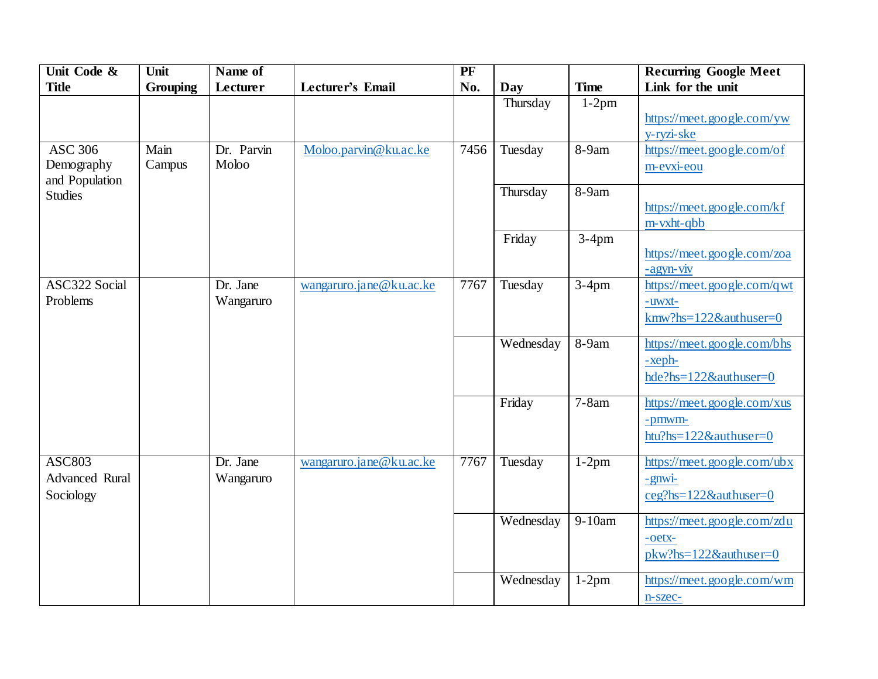| Unit Code &                      | Unit            | Name of         |                         | $\overline{\text{PF}}$ |           |             | <b>Recurring Google Meet</b>   |
|----------------------------------|-----------------|-----------------|-------------------------|------------------------|-----------|-------------|--------------------------------|
| <b>Title</b>                     | <b>Grouping</b> | <b>Lecturer</b> | Lecturer's Email        | No.                    | Day       | <b>Time</b> | Link for the unit              |
|                                  |                 |                 |                         |                        | Thursday  | $1-2pm$     |                                |
|                                  |                 |                 |                         |                        |           |             | https://meet.google.com/yw     |
|                                  |                 |                 |                         |                        |           |             | y-ryzi-ske                     |
| <b>ASC 306</b>                   | Main            | Dr. Parvin      | Moloo.parvin@ku.ac.ke   | 7456                   | Tuesday   | $8-9am$     | https://meet.google.com/of     |
| Demography                       | Campus          | Moloo           |                         |                        |           |             | m-evxi-eou                     |
| and Population<br><b>Studies</b> |                 |                 |                         |                        | Thursday  | 8-9am       |                                |
|                                  |                 |                 |                         |                        |           |             | https://meet.google.com/kf     |
|                                  |                 |                 |                         |                        |           |             | m-vxht-qbb                     |
|                                  |                 |                 |                         |                        | Friday    | $3-4$ pm    |                                |
|                                  |                 |                 |                         |                        |           |             | https://meet.google.com/zoa    |
|                                  |                 |                 |                         |                        |           |             | -agyn-viv                      |
| ASC322 Social                    |                 | Dr. Jane        | wangaruro.jane@ku.ac.ke | 7767                   | Tuesday   | $3-4$ pm    | https://meet.google.com/qwt    |
| Problems                         |                 | Wangaruro       |                         |                        |           |             | -uwxt-                         |
|                                  |                 |                 |                         |                        |           |             | kmw?hs=122&authuser=0          |
|                                  |                 |                 |                         |                        | Wednesday | $8-9am$     | https://meet.google.com/bhs    |
|                                  |                 |                 |                         |                        |           |             | -xeph-                         |
|                                  |                 |                 |                         |                        |           |             | hde?hs=122&authuser=0          |
|                                  |                 |                 |                         |                        | Friday    | $7 - 8$ am  | https://meet.google.com/xus    |
|                                  |                 |                 |                         |                        |           |             | -pmwm-                         |
|                                  |                 |                 |                         |                        |           |             | htu?hs=122&authuser=0          |
|                                  |                 |                 |                         |                        |           |             |                                |
| <b>ASC803</b>                    |                 | Dr. Jane        | wangaruro.jane@ku.ac.ke | 7767                   | Tuesday   | $1-2pm$     | https://meet.google.com/ubx    |
| <b>Advanced Rural</b>            |                 | Wangaruro       |                         |                        |           |             | $-$ gnwi-                      |
| Sociology                        |                 |                 |                         |                        |           |             | ceg?hs=122&authuser=0          |
|                                  |                 |                 |                         |                        | Wednesday | 9-10am      | https://meet.google.com/zdu    |
|                                  |                 |                 |                         |                        |           |             | -oetx-                         |
|                                  |                 |                 |                         |                        |           |             | $pkw?hs=122&\text{authuser}=0$ |
|                                  |                 |                 |                         |                        |           |             |                                |
|                                  |                 |                 |                         |                        | Wednesday | $1-2$ pm    | https://meet.google.com/wm     |
|                                  |                 |                 |                         |                        |           |             | n-szec-                        |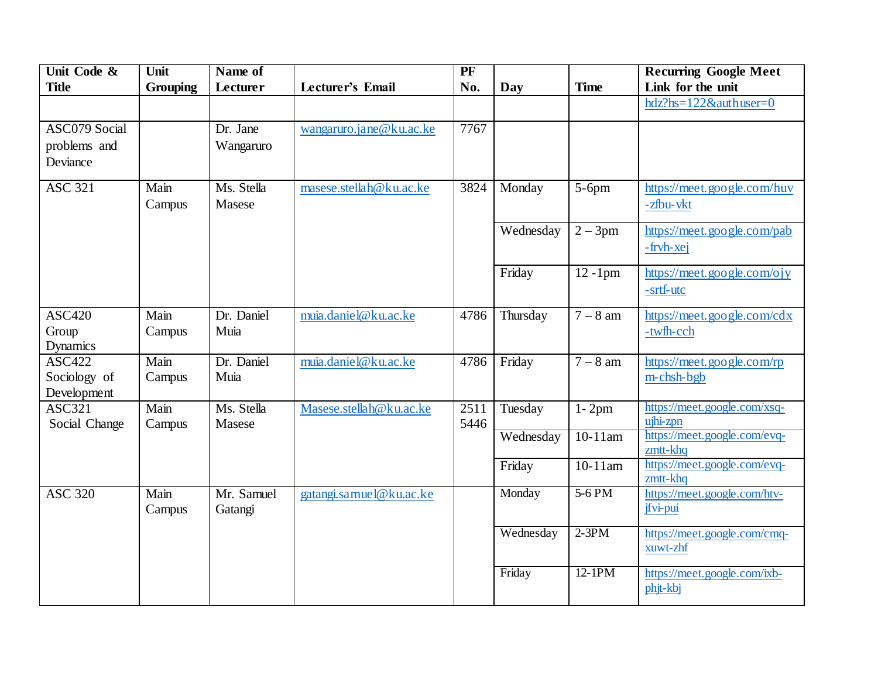| Unit Code &                   | Unit            | Name of            |                         | $\overline{\text{PF}}$ |           |             | <b>Recurring Google Meet</b>             |
|-------------------------------|-----------------|--------------------|-------------------------|------------------------|-----------|-------------|------------------------------------------|
| <b>Title</b>                  | <b>Grouping</b> | Lecturer           | Lecturer's Email        | No.                    | Day       | <b>Time</b> | Link for the unit                        |
|                               |                 |                    |                         |                        |           |             | $hdz?hs=122&authuser=0$                  |
| <b>ASC079 Social</b>          |                 | Dr. Jane           | wangaruro.jane@ku.ac.ke | 7767                   |           |             |                                          |
| problems and                  |                 | Wangaruro          |                         |                        |           |             |                                          |
| Deviance                      |                 |                    |                         |                        |           |             |                                          |
|                               |                 |                    |                         |                        |           |             |                                          |
| <b>ASC 321</b>                | Main            | Ms. Stella         | masese.stellah@ku.ac.ke | 3824                   | Monday    | $5-6$ pm    | https://meet.google.com/huv              |
|                               | Campus          | Masese             |                         |                        |           |             | -zfbu-vkt                                |
|                               |                 |                    |                         |                        | Wednesday | $2 - 3$ pm  | https://meet.google.com/pab              |
|                               |                 |                    |                         |                        |           |             | -fryh-xej                                |
|                               |                 |                    |                         |                        | Friday    | $12 - 1$ pm | https://meet.google.com/ojy              |
|                               |                 |                    |                         |                        |           |             | -srtf-utc                                |
|                               |                 |                    |                         |                        |           |             |                                          |
| <b>ASC420</b>                 | Main            | Dr. Daniel         | muia.daniel@ku.ac.ke    | 4786                   | Thursday  | $7 - 8$ am  | https://meet.google.com/cdx              |
| Group                         | Campus          | Muia               |                         |                        |           |             | -twfh-cch                                |
| <b>Dynamics</b>               |                 |                    |                         |                        |           |             |                                          |
| <b>ASC422</b><br>Sociology of | Main<br>Campus  | Dr. Daniel<br>Muia | muia.daniel@ku.ac.ke    | 4786                   | Friday    | $7 - 8$ am  | https://meet.google.com/rp<br>m-chsh-bgb |
| Development                   |                 |                    |                         |                        |           |             |                                          |
| <b>ASC321</b>                 | Main            | Ms. Stella         | Masese.stellah@ku.ac.ke | 2511                   | Tuesday   | $1 - 2pm$   | https://meet.google.com/xsq-             |
| Social Change                 | Campus          | Masese             |                         | 5446                   |           |             | ujhi-zpn                                 |
|                               |                 |                    |                         |                        | Wednesday | $10-11$ am  | https://meet.google.com/evq-             |
|                               |                 |                    |                         |                        |           |             | zmtt-khq                                 |
|                               |                 |                    |                         |                        | Friday    | $10-11$ am  | https://meet.google.com/evq-<br>zmtt-khq |
| <b>ASC 320</b>                | Main            | Mr. Samuel         | gatangi.samuel@ku.ac.ke |                        | Monday    | $5-6$ PM    | https://meet.google.com/htv-             |
|                               | Campus          | Gatangi            |                         |                        |           |             | jfvi-pui                                 |
|                               |                 |                    |                         |                        | Wednesday | $2-3PM$     |                                          |
|                               |                 |                    |                         |                        |           |             | https://meet.google.com/cmq-<br>xuwt-zhf |
|                               |                 |                    |                         |                        |           |             |                                          |
|                               |                 |                    |                         |                        | Friday    | $12-1PM$    | https://meet.google.com/ixb-             |
|                               |                 |                    |                         |                        |           |             | phjt-kbj                                 |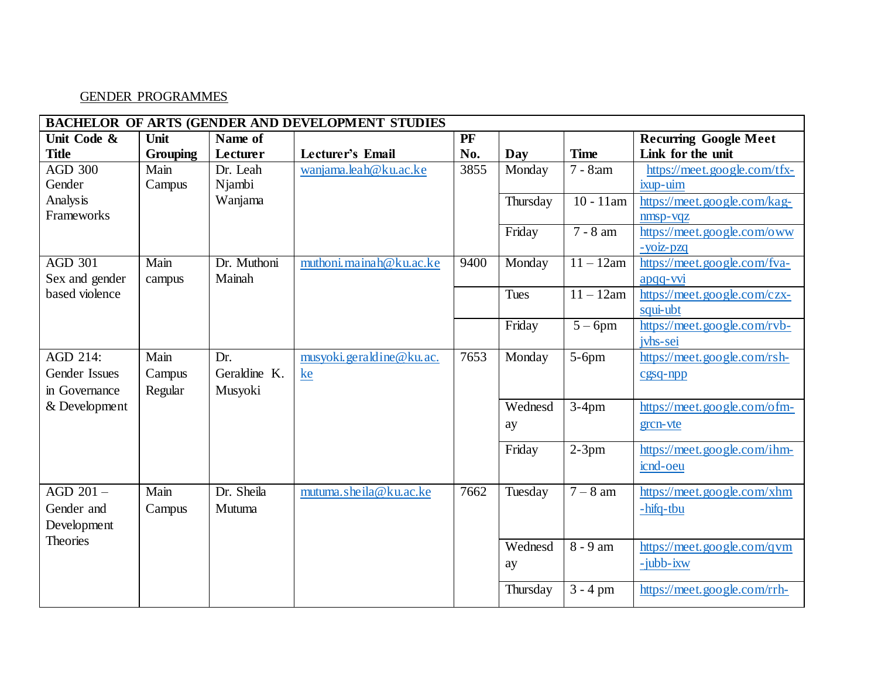## GENDER PROGRAMMES

| <b>BACHELOR OF ARTS (GENDER AND DEVELOPMENT STUDIES</b> |                 |              |                          |      |             |                      |                              |  |
|---------------------------------------------------------|-----------------|--------------|--------------------------|------|-------------|----------------------|------------------------------|--|
| Unit Code &                                             | Unit            | Name of      |                          | PF   |             |                      | <b>Recurring Google Meet</b> |  |
| <b>Title</b>                                            | <b>Grouping</b> | Lecturer     | Lecturer's Email         | No.  | Day         | <b>Time</b>          | Link for the unit            |  |
| <b>AGD 300</b>                                          | Main            | Dr. Leah     | wanjama.leah@ku.ac.ke    | 3855 | Monday      | 7 - 8:am             | https://meet.google.com/tfx- |  |
| Gender                                                  | Campus          | Njambi       |                          |      |             |                      | ixup-uim                     |  |
| Analysis                                                |                 | Wanjama      |                          |      | Thursday    | $10 - 11$ am         | https://meet.google.com/kag- |  |
| Frameworks                                              |                 |              |                          |      |             |                      | $n m s p - v q z$            |  |
|                                                         |                 |              |                          |      | Friday      | $7 - 8$ am           | https://meet.google.com/oww  |  |
|                                                         |                 |              |                          |      |             |                      | -yoiz-pzq                    |  |
| <b>AGD 301</b>                                          | Main            | Dr. Muthoni  | muthoni.mainah@ku.ac.ke  | 9400 | Monday      | $11 - 12$ am         | https://meet.google.com/fva- |  |
| Sex and gender                                          | campus          | Mainah       |                          |      |             |                      | apqq-vvi                     |  |
| based violence                                          |                 |              |                          |      | <b>Tues</b> | $11 - 12$ am         | https://meet.google.com/czx- |  |
|                                                         |                 |              |                          |      |             |                      | squi-ubt                     |  |
|                                                         |                 |              |                          |      | Friday      | $\overline{5}$ – 6pm | https://meet.google.com/rvb- |  |
|                                                         |                 |              |                          |      |             |                      | jvhs-sei                     |  |
| AGD 214:                                                | Main            | Dr.          | musyoki.geraldine@ku.ac. | 7653 | Monday      | $5-6$ pm             | https://meet.google.com/rsh- |  |
| Gender Issues                                           | Campus          | Geraldine K. | ke                       |      |             |                      | $cgsq-npp$                   |  |
| in Governance                                           | Regular         | Musyoki      |                          |      |             |                      |                              |  |
| & Development                                           |                 |              |                          |      | Wednesd     | $3-4$ pm             | https://meet.google.com/ofm- |  |
|                                                         |                 |              |                          |      | ay          |                      | grcn-vte                     |  |
|                                                         |                 |              |                          |      |             |                      |                              |  |
|                                                         |                 |              |                          |      | Friday      | $2-3pm$              | https://meet.google.com/ihm- |  |
|                                                         |                 |              |                          |      |             |                      | icnd-oeu                     |  |
| AGD 201-                                                | Main            | Dr. Sheila   | mutuma.sheila@ku.ac.ke   | 7662 | Tuesday     | $7 - 8$ am           | https://meet.google.com/xhm  |  |
| Gender and                                              | Campus          | Mutuma       |                          |      |             |                      | -hifq-tbu                    |  |
| Development                                             |                 |              |                          |      |             |                      |                              |  |
| <b>Theories</b>                                         |                 |              |                          |      |             |                      |                              |  |
|                                                         |                 |              |                          |      | Wednesd     | $8 - 9$ am           | https://meet.google.com/qvm  |  |
|                                                         |                 |              |                          |      | ay          |                      | -jubb-ixw                    |  |
|                                                         |                 |              |                          |      | Thursday    | $3 - 4$ pm           | https://meet.google.com/rrh- |  |
|                                                         |                 |              |                          |      |             |                      |                              |  |